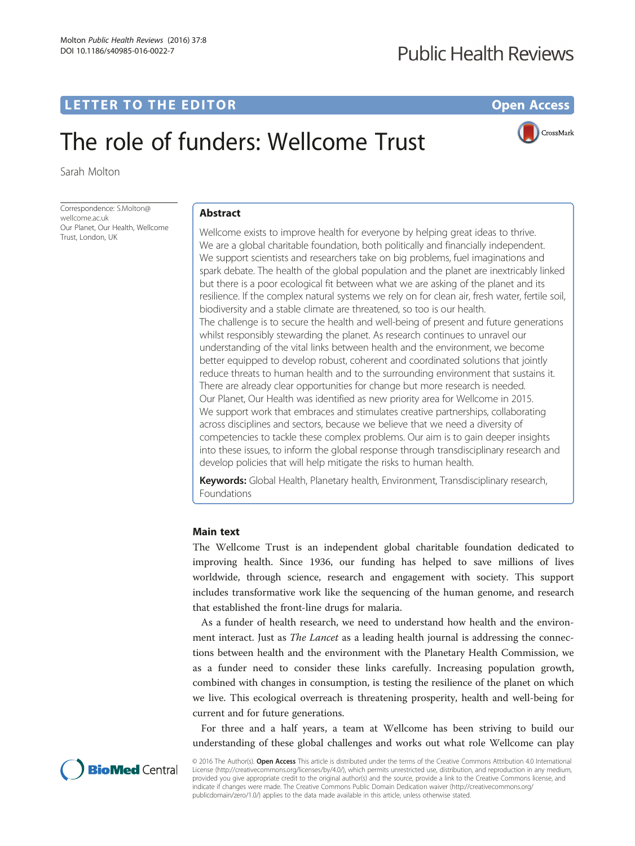# **Public Health Reviews**

CrossMark

# **LETTER TO THE EDITOR CONSIDERING ACCESS**

# The role of funders: Wellcome Trust

Sarah Molton

Correspondence: [S.Molton@](mailto:S.Molton@wellcome.ac.uk) wellcome ac uk Our Planet, Our Health, Wellcome Trust, London, UK

# Abstract

Wellcome exists to improve health for everyone by helping great ideas to thrive. We are a global charitable foundation, both politically and financially independent. We support scientists and researchers take on big problems, fuel imaginations and spark debate. The health of the global population and the planet are inextricably linked but there is a poor ecological fit between what we are asking of the planet and its resilience. If the complex natural systems we rely on for clean air, fresh water, fertile soil, biodiversity and a stable climate are threatened, so too is our health. The challenge is to secure the health and well-being of present and future generations whilst responsibly stewarding the planet. As research continues to unravel our understanding of the vital links between health and the environment, we become better equipped to develop robust, coherent and coordinated solutions that jointly reduce threats to human health and to the surrounding environment that sustains it. There are already clear opportunities for change but more research is needed. Our Planet, Our Health was identified as new priority area for Wellcome in 2015. We support work that embraces and stimulates creative partnerships, collaborating across disciplines and sectors, because we believe that we need a diversity of competencies to tackle these complex problems. Our aim is to gain deeper insights into these issues, to inform the global response through transdisciplinary research and develop policies that will help mitigate the risks to human health.

Keywords: Global Health, Planetary health, Environment, Transdisciplinary research, Foundations

# Main text

The Wellcome Trust is an independent global charitable foundation dedicated to improving health. Since 1936, our funding has helped to save millions of lives worldwide, through science, research and engagement with society. This support includes transformative work like the sequencing of the human genome, and research that established the front-line drugs for malaria.

As a funder of health research, we need to understand how health and the environment interact. Just as *The Lancet* as a leading health journal is addressing the connections between health and the environment with the Planetary Health Commission, we as a funder need to consider these links carefully. Increasing population growth, combined with changes in consumption, is testing the resilience of the planet on which we live. This ecological overreach is threatening prosperity, health and well-being for current and for future generations.

For three and a half years, a team at Wellcome has been striving to build our understanding of these global challenges and works out what role Wellcome can play



© 2016 The Author(s). Open Access This article is distributed under the terms of the Creative Commons Attribution 4.0 International License ([http://creativecommons.org/licenses/by/4.0/\)](http://creativecommons.org/licenses/by/4.0/), which permits unrestricted use, distribution, and reproduction in any medium, provided you give appropriate credit to the original author(s) and the source, provide a link to the Creative Commons license, and indicate if changes were made. The Creative Commons Public Domain Dedication waiver ([http://creativecommons.org/](http://creativecommons.org/publicdomain/zero/1.0/) [publicdomain/zero/1.0/\)](http://creativecommons.org/publicdomain/zero/1.0/) applies to the data made available in this article, unless otherwise stated.